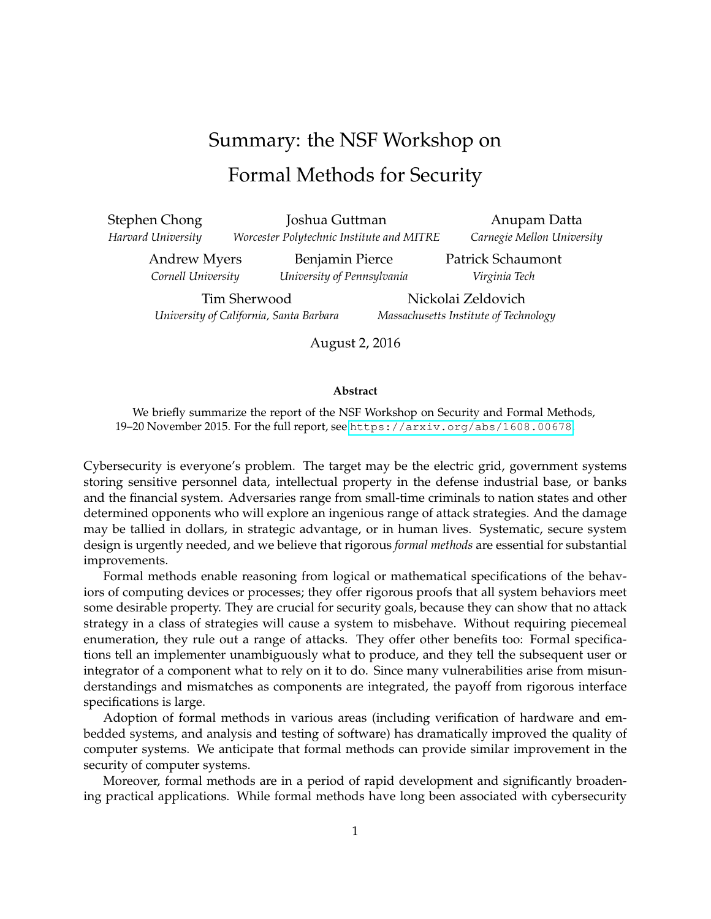## Summary: the NSF Workshop on Formal Methods for Security

Stephen Chong *Harvard University*

Joshua Guttman *Worcester Polytechnic Institute and MITRE*

Anupam Datta *Carnegie Mellon University*

Patrick Schaumont *Virginia Tech*

Andrew Myers *Cornell University*

Benjamin Pierce *University of Pennsylvania*

Tim Sherwood *University of California, Santa Barbara*

Nickolai Zeldovich *Massachusetts Institute of Technology*

August 2, 2016

## **Abstract**

We briefly summarize the report of the NSF Workshop on Security and Formal Methods, 19–20 November 2015. For the full report, see <https://arxiv.org/abs/1608.00678>.

Cybersecurity is everyone's problem. The target may be the electric grid, government systems storing sensitive personnel data, intellectual property in the defense industrial base, or banks and the financial system. Adversaries range from small-time criminals to nation states and other determined opponents who will explore an ingenious range of attack strategies. And the damage may be tallied in dollars, in strategic advantage, or in human lives. Systematic, secure system design is urgently needed, and we believe that rigorous *formal methods* are essential for substantial improvements.

Formal methods enable reasoning from logical or mathematical specifications of the behaviors of computing devices or processes; they offer rigorous proofs that all system behaviors meet some desirable property. They are crucial for security goals, because they can show that no attack strategy in a class of strategies will cause a system to misbehave. Without requiring piecemeal enumeration, they rule out a range of attacks. They offer other benefits too: Formal specifications tell an implementer unambiguously what to produce, and they tell the subsequent user or integrator of a component what to rely on it to do. Since many vulnerabilities arise from misunderstandings and mismatches as components are integrated, the payoff from rigorous interface specifications is large.

Adoption of formal methods in various areas (including verification of hardware and embedded systems, and analysis and testing of software) has dramatically improved the quality of computer systems. We anticipate that formal methods can provide similar improvement in the security of computer systems.

Moreover, formal methods are in a period of rapid development and significantly broadening practical applications. While formal methods have long been associated with cybersecurity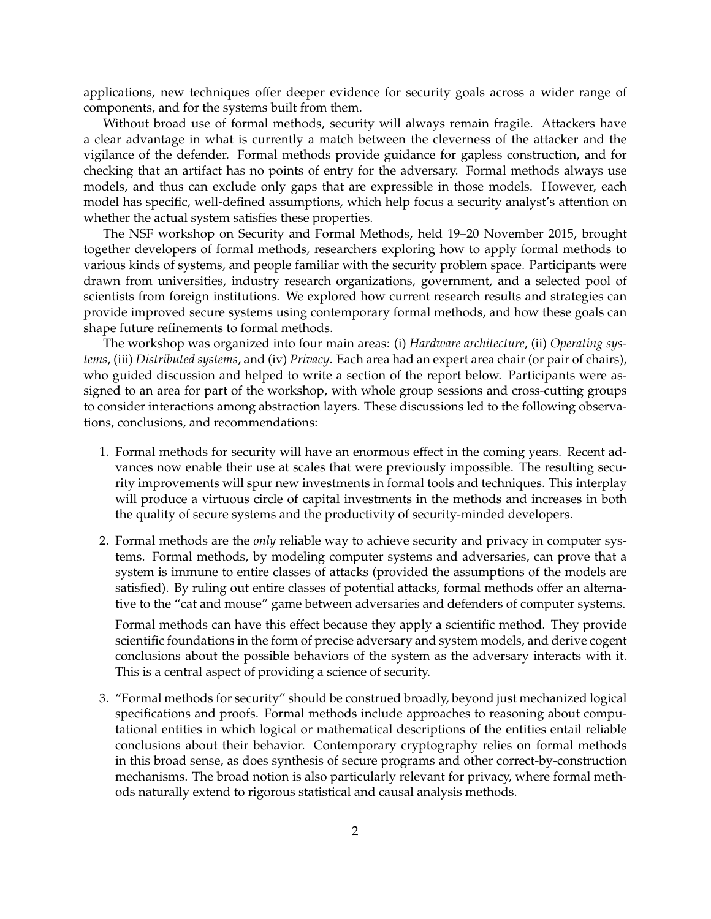applications, new techniques offer deeper evidence for security goals across a wider range of components, and for the systems built from them.

Without broad use of formal methods, security will always remain fragile. Attackers have a clear advantage in what is currently a match between the cleverness of the attacker and the vigilance of the defender. Formal methods provide guidance for gapless construction, and for checking that an artifact has no points of entry for the adversary. Formal methods always use models, and thus can exclude only gaps that are expressible in those models. However, each model has specific, well-defined assumptions, which help focus a security analyst's attention on whether the actual system satisfies these properties.

The NSF workshop on Security and Formal Methods, held 19–20 November 2015, brought together developers of formal methods, researchers exploring how to apply formal methods to various kinds of systems, and people familiar with the security problem space. Participants were drawn from universities, industry research organizations, government, and a selected pool of scientists from foreign institutions. We explored how current research results and strategies can provide improved secure systems using contemporary formal methods, and how these goals can shape future refinements to formal methods.

The workshop was organized into four main areas: (i) *Hardware architecture*, (ii) *Operating systems*, (iii) *Distributed systems*, and (iv) *Privacy*. Each area had an expert area chair (or pair of chairs), who guided discussion and helped to write a section of the report below. Participants were assigned to an area for part of the workshop, with whole group sessions and cross-cutting groups to consider interactions among abstraction layers. These discussions led to the following observations, conclusions, and recommendations:

- 1. Formal methods for security will have an enormous effect in the coming years. Recent advances now enable their use at scales that were previously impossible. The resulting security improvements will spur new investments in formal tools and techniques. This interplay will produce a virtuous circle of capital investments in the methods and increases in both the quality of secure systems and the productivity of security-minded developers.
- 2. Formal methods are the *only* reliable way to achieve security and privacy in computer systems. Formal methods, by modeling computer systems and adversaries, can prove that a system is immune to entire classes of attacks (provided the assumptions of the models are satisfied). By ruling out entire classes of potential attacks, formal methods offer an alternative to the "cat and mouse" game between adversaries and defenders of computer systems.

Formal methods can have this effect because they apply a scientific method. They provide scientific foundations in the form of precise adversary and system models, and derive cogent conclusions about the possible behaviors of the system as the adversary interacts with it. This is a central aspect of providing a science of security.

3. "Formal methods for security" should be construed broadly, beyond just mechanized logical specifications and proofs. Formal methods include approaches to reasoning about computational entities in which logical or mathematical descriptions of the entities entail reliable conclusions about their behavior. Contemporary cryptography relies on formal methods in this broad sense, as does synthesis of secure programs and other correct-by-construction mechanisms. The broad notion is also particularly relevant for privacy, where formal methods naturally extend to rigorous statistical and causal analysis methods.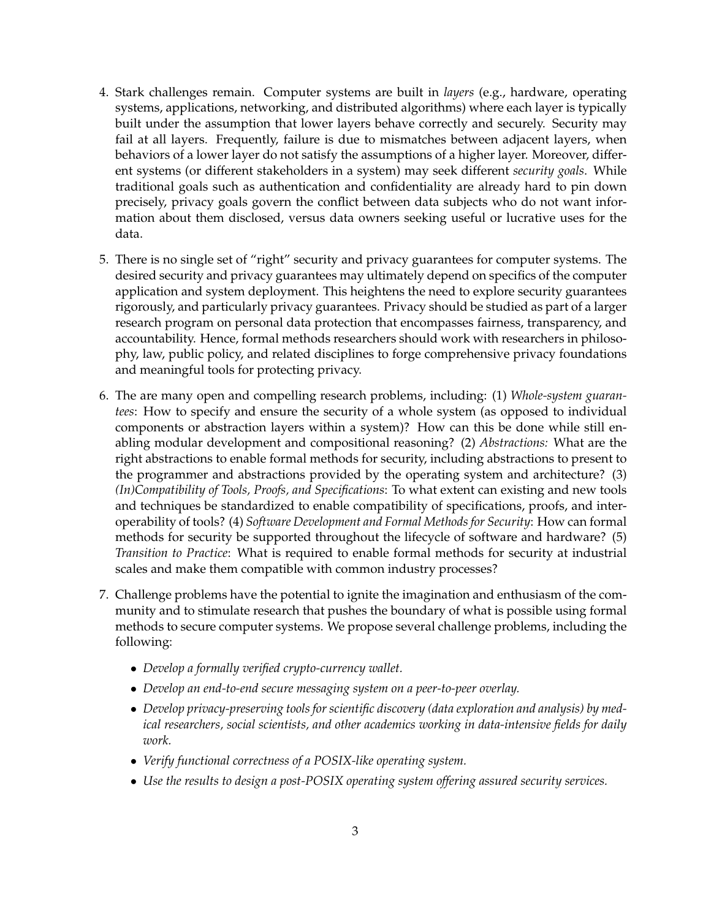- 4. Stark challenges remain. Computer systems are built in *layers* (e.g., hardware, operating systems, applications, networking, and distributed algorithms) where each layer is typically built under the assumption that lower layers behave correctly and securely. Security may fail at all layers. Frequently, failure is due to mismatches between adjacent layers, when behaviors of a lower layer do not satisfy the assumptions of a higher layer. Moreover, different systems (or different stakeholders in a system) may seek different *security goals*. While traditional goals such as authentication and confidentiality are already hard to pin down precisely, privacy goals govern the conflict between data subjects who do not want information about them disclosed, versus data owners seeking useful or lucrative uses for the data.
- 5. There is no single set of "right" security and privacy guarantees for computer systems. The desired security and privacy guarantees may ultimately depend on specifics of the computer application and system deployment. This heightens the need to explore security guarantees rigorously, and particularly privacy guarantees. Privacy should be studied as part of a larger research program on personal data protection that encompasses fairness, transparency, and accountability. Hence, formal methods researchers should work with researchers in philosophy, law, public policy, and related disciplines to forge comprehensive privacy foundations and meaningful tools for protecting privacy.
- 6. The are many open and compelling research problems, including: (1) *Whole-system guarantees*: How to specify and ensure the security of a whole system (as opposed to individual components or abstraction layers within a system)? How can this be done while still enabling modular development and compositional reasoning? (2) *Abstractions:* What are the right abstractions to enable formal methods for security, including abstractions to present to the programmer and abstractions provided by the operating system and architecture? (3) *(In)Compatibility of Tools, Proofs, and Specifications*: To what extent can existing and new tools and techniques be standardized to enable compatibility of specifications, proofs, and interoperability of tools? (4) *Software Development and Formal Methods for Security*: How can formal methods for security be supported throughout the lifecycle of software and hardware? (5) *Transition to Practice*: What is required to enable formal methods for security at industrial scales and make them compatible with common industry processes?
- 7. Challenge problems have the potential to ignite the imagination and enthusiasm of the community and to stimulate research that pushes the boundary of what is possible using formal methods to secure computer systems. We propose several challenge problems, including the following:
	- *Develop a formally verified crypto-currency wallet.*
	- *Develop an end-to-end secure messaging system on a peer-to-peer overlay.*
	- *Develop privacy-preserving tools for scientific discovery (data exploration and analysis) by medical researchers, social scientists, and other academics working in data-intensive fields for daily work.*
	- *Verify functional correctness of a POSIX-like operating system.*
	- *Use the results to design a post-POSIX operating system offering assured security services.*